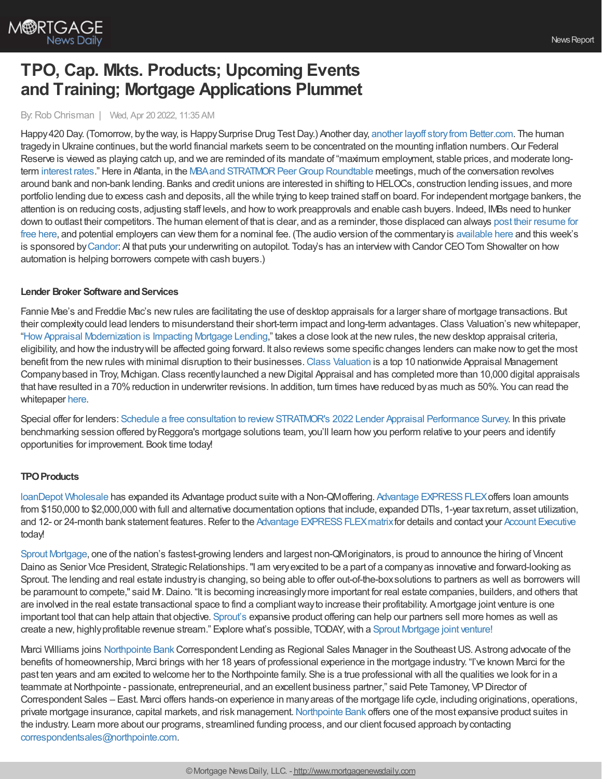

# **TPO, Cap. Mkts. Products; Upcoming Events and Training; Mortgage Applications Plummet**

By:Rob Chrisman | Wed, Apr 20 2022, 11:35 AM

Happy 420 Day. (Tomorrow, by the way, is Happy Surprise Drug Test Day.) Another day, another layoff story from [Better.com](https://www.nytimes.com/2022/04/19/business/bettercom-announces-more-layoffs-citing-mortgage-market-turbulence.html). The human tragedy in Ukraine continues, but the world financial markets seem to be concentrated on the mounting inflation numbers. Our Federal Reserve is viewed as playing catch up, and we are reminded of its mandate of "maximum employment, stable prices, and moderate longterm [interest](https://www.mortgagenewsdaily.com/mortgage-rates) rates." Here in Atlanta, in the MBA and STRATMOR Peer Group Roundtable meetings, much of the conversation revolves around bank and non-bank lending. Banks and credit unions are interested in shifting to HELOCs, construction lending issues, and more portfolio lending due to excess cash and deposits, all the while trying to keep trained staff on board. For independent mortgage bankers, the attention is on reducing costs, adjusting staff levels, and howto work preapprovals and enable cash buyers. Indeed, IMBs need to hunker down to outlast their competitors. The human element of that is clear, and as a reminder, those displaced can always post their resume for free here, and potential employers can viewthem for a nominal fee. (The audio version of the [commentaryis](http://www.lendernews.com) [available](https://linktr.ee/dailymortgagenews) here and this week's is sponsored by[Candor](https://info.candortechnology.com/cp3): AI that puts your underwriting on autopilot. Today's has an interviewwith Candor CEOTom Showalter on how automation is helping borrowers compete with cash buyers.)

### **Lender Broker Software and Services**

Fannie Mae's and Freddie Mac's newrules are facilitating the use of desktop appraisals for a larger share of mortgage transactions. But their complexitycould lead lenders to misunderstand their short-term impact and long-term advantages.Class Valuation's newwhitepaper, ["HowAppraisal](https://go.classvaluation.com/ChrismanWhitepaper) Modernization is Impacting Mortgage Lending," takes a close look at the newrules, the newdesktop appraisal criteria, eligibility, and howthe industrywill be affected going forward. It also reviews some specific changes lenders can make nowto get the most benefit from the new rules with minimal disruption to their businesses. Class [Valuation](https://www.classvaluation.com/) is a top 10 nationwide Appraisal Management Company based in Troy, Michigan. Class recently launched a new Digital Appraisal and has completed more than 10,000 digital appraisals that have resulted in a 70%reduction in underwriter revisions. In addition, turn times have reduced byas much as 50%. You can read the whitepaper [here.](https://go.classvaluation.com/ChrismanWhitepaper)

Special offer for lenders: Schedule a free consultation to review STRATMOR's 2022 Lender Appraisal Performance Survey. In this private benchmarking session offered byReggora's mortgage solutions team, you'll learn howyou perform relative to your peers and identify opportunities for improvement. Book time today!

## **TPO Products**

loanDepot [Wholesale](https://www.ldwholesale.com/) has expanded its Advantage product suite with a Non-QMoffering. Advantage EXPRESS FLEX offers loan amounts from \$150,000 to \$2,000,000 with full and alternative documentation options that include, expanded DTIs, 1-year taxreturn, asset utilization, and 12- or 24-month bank statement features. Refer to the Advantage EXPRESS FLEX matrix for details and contact your Account [Executive](https://www.ldwholesale.com/find-my-account-executive) today!

Sprout [Mortgage](https://linkprotect.cudasvc.com/url?a=https%253a%252f%252fwww.sproutwholesale.com%252fjv&c=E,1,1DHsEgub64pFxF2HT1IEi5-F-xM-ME1o6xNb7AZCLC17lDW5jKQ14mp9BNJ-_LHDn6lBI8az3udeNnxyVlFmPTKlP5P5YkIbzvoe5jUtRZKjHn6141QAnquT&typo=1), one of the nation's fastest-growing lenders and largest non-QMoriginators, is proud to announce the hiring of Vincent Daino as Senior Vice President, Strategic Relationships. "I am very excited to be a part of a company as innovative and forward-looking as Sprout. The lending and real estate industryis changing, so being able to offer out-of-the-boxsolutions to partners as well as borrowers will be paramount to compete," said Mr. Daino. "It is becoming increasingly more important for real estate companies, builders, and others that are involved in the real estate transactional space to find a compliantwayto increase their profitability. Amortgage joint venture is one important tool that can help attain that objective. [Sprout's](https://linkprotect.cudasvc.com/url?a=https%253a%252f%252fwww.sproutwholesale.com%252fjv&c=E,1,mI_GGqC-LQpAeogLLRzMESlzSGxSLgnsrMU7I7ihSpKDmgVrVOeT-_z7ub2V92UODkzOQxXemuMrL2jyW2C5Qv5Z6RnODKiw25tDTH32P5tB1gt8rz3Xon6YcA,,&typo=1) expansive product offering can help our partners sell more homes as well as create a new, highlyprofitable revenue stream." Explore what's possible, TODAY,with a Sprout [Mortgage](https://linkprotect.cudasvc.com/url?a=https%253a%252f%252fwww.sproutwholesale.com%252fjv&c=E,1,eFdBCi_yjiStNRP9swBRd1J-pfYrOkN51pYJX-qu03qxlEaEN7rfcbt8F-Bx_3D15rrUewAQMEjHqwPFW1_iHCe0WWksgZk9Iz_7sttsRNA,&typo=1) joint venture!

Marci Williams joins [Northpointe](https://www.northpointe.com/correspondent-lending/) BankCorrespondent Lending as Regional Sales Manager in the SoutheastUS. Astrong advocate of the benefits of homeownership, Marci brings with her 18 years of professional experience in the mortgage industry. "I've known Marci for the past ten years and am excited to welcome her to the Northpointe family. She is a true professional with all the qualities we look for in a teammate at Northpointe - passionate, entrepreneurial, and an excellent business partner," said Pete Tamoney, VP Director of Correspondent Sales – East. Marci offers hands-on experience in manyareas of the mortgage life cycle, including originations, operations, private mortgage insurance, capital markets, and risk management. [Northpointe](https://www.northpointe.com/correspondent-lending/) Bank offers one of the most expansive product suites in the industry. Learn more about our programs, streamlined funding process, and our client focused approach bycontacting [correspondentsales@northpointe.com](mailto:correspondentsales@northpointe.com).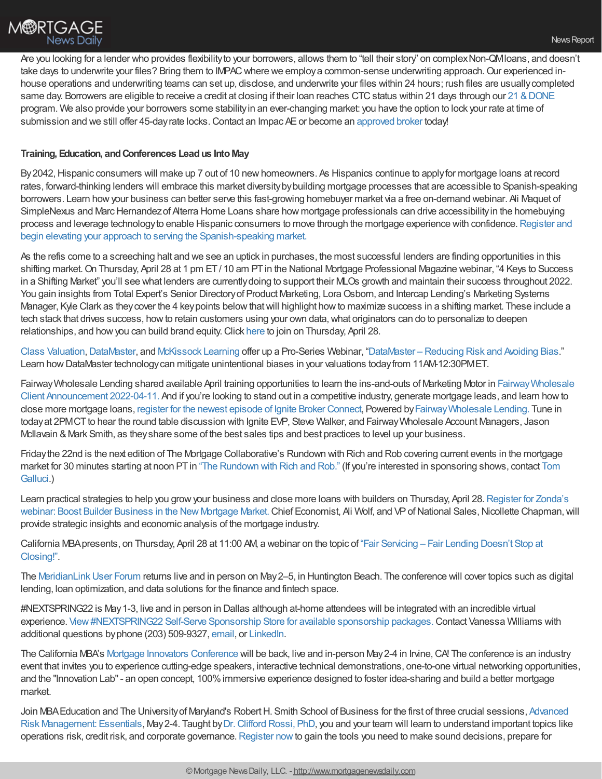Are you looking for a lender who provides flexibilityto your borrowers, allows them to "tell their story" on complexNon-QMloans, and doesn't take days to underwrite your files? Bring them to IMPAC where we employ a common-sense underwriting approach. Our experienced inhouse operations and underwriting teams can set up, disclose, and underwrite your files within 24 hours; rush files are usuallycompleted same day. Borrowers are eligible to receive a credit at closing if their loan reaches CTC status within 21 days through our 21 & DONE program. We also provide your borrowers some stabilityin an ever-changing market: you have the option to lock your rate at time of submission and we still offer 45-day rate locks. Contact an Impac AE or become an [approved](https://impacwholesale.com/Partner-With-Us/) broker today!

### **Training, Education, andConferences Leadus IntoMay**

By2042,Hispanic consumers will make up 7 out of 10 newhomeowners. As Hispanics continue to applyfor mortgage loans at record rates, forward-thinking lenders will embrace this market diversity by building mortgage processes that are accessible to Spanish-speaking borrowers. Learn howyour business can better serve this fast-growing homebuyer market via a free on-demand webinar. Ali Maquet of SimpleNexus and Marc Hernandez of Alterra Home Loans share how mortgage professionals can drive accessibility in the homebuying process and leverage technologyto enable Hispanic consumers to move through the mortgage experience with [confidence.Register](https://bit.ly/3Ex7mDT) and begin elevating your approach to serving the Spanish-speaking market.

As the refis come to a screeching halt and we see an uptick in purchases, the most successful lenders are finding opportunities in this shifting market. On Thursday, April 28 at 1 pm ET / 10 am PT in the National Mortgage Professional Magazine webinar, "4 Keys to Success in a Shifting Market" you'll see what lenders are currentlydoing to support their MLOs growth and maintain their success throughout 2022. You gain insights from Total Expert's Senior Directory of Product Marketing, Lora Osborn, and Intercap Lending's Marketing Systems Manager, Kyle Clark as theycover the 4 keypoints belowthatwill highlight howto maximize success in a shifting market. These include a tech stack that drives success, howto retain customers using your own data,what originators can do to personalize to deepen relationships, and howyou can build brand equity.Click [here](https://attendee.gotowebinar.com/register/8091264709334088972?source=Chrisman) to join on Thursday, April 28.

Class [Valuation](https://www.classvaluation.com/),[DataMaster](https://www.datamasterusa.com/), and [McKissock](https://www.mckissock.com/) Learning offer up a Pro-Series Webinar, ["DataMaster](https://www.mckissock.com/appraisal/pro-series-webinars/) – Reducing Risk and Avoiding Bias." Learn howDataMaster technologycan mitigate unintentional biases in your valuations todayfrom 11AM-12:30PMET.

Fairway Wholesale Lending shared available April training opportunities to learn the ins-and-outs of Marketing Motor in Fairway Wholesale Client Announcement 2022-04-11. And if you're looking to stand out in a competitive industry, generate mortgage leads, and learn howto close more mortgage loans, register for the newest episode of Ignite Broker [Connect,](https://fairwaymc.zoom.us/webinar/register/WN_a5oQz43jRdiQXB8ZqT9s9A) Powered by[FairwayWholesale](https://www.fairwaywholesalelending.com/) Lending. Tune in today at 2PMCT to hear the round table discussion with Ignite EVP, Steve Walker, and Fairway Wholesale Account Managers, Jason McIlavain & Mark Smith, as they share some of the best sales tips and best practices to level up your business.

Fridaythe 22nd is the next edition of The Mortgage Collaborative's Rundown with Rich and Rob covering current events in the mortgage market for 30 minutes starting at noon PT in "The [Rundown](https://mtgcoop.zoom.us/webinar/register/WN_hOUDEqURT9m3mhKCJWRM-A) with Rich and Rob." (If you're interested in [sponsoring](mailto:tgallucci@mtgcoop.com) shows, contact Tom Galluci.)

Learn practical strategies to help you grow your business and close more loans with builders on Thursday, April 28. Register for Zonda's webinar: Boost Builder Business in the New Mortgage Market. Chief Economist, Ali Wolf, and VP of National Sales, Nicollette Chapman, will provide strategic insights and economic analysis of the mortgage industry.

California [MBApresents,](https://register.gotowebinar.com/register/15924648303699723) on Thursday, April 28 at 11:00 AM, a webinar on the topic of "Fair Servicing – Fair Lending Doesn't Stop at Closing!".

The MeridianLink User Forum returns live and in person on May 2–5, in Huntington Beach. The conference will cover topics such as digital lending, loan optimization, and data solutions for the finance and fintech space.

#NEXTSPRING22 is May1-3, live and in person in Dallas although at-home attendees will be integrated with an incredible virtual experience. View #NEXTSPRING22 Self-Serve Sponsorship Store for available sponsorship packages. Contact Vanessa Williams with additional questions byphone (203) 509-9327, [email](mailto:vanessa@nextmortgageevents.com?subject=%2523NEXTSUMMER20%20sponsorship%20info), or [LinkedIn.](https://na01.safelinks.protection.outlook.com/?url=https%253A%252F%252Fnextmortgageconference.us16.list-manage.com%252Ftrack%252Fclick%253Fu%253D508b2b4a4d693490b58a583d0%2526id%253D43ac6d2686%2526e%253Da3e20a0e4e&data=04%257C01%257C%257Ca7e84592638e4dc9124008d9a1f0e0ff%257C84df9e7fe9f640afb435aaaaaaaaaaaa%257C1%257C0%257C637718878214002173%257CUnknown%257CTWFpbGZsb3d8eyJWIjoiMC4wLjAwMDAiLCJQIjoiV2luMzIiLCJBTiI6Ik1haWwiLCJXVCI6Mn0%253D%257C1000&sdata=j0YDKPEcCP5jGMjx2qNY7Lm8Q8KkC5%252B%252FuLpILGRYXVQ%253D&reserved=0)

The California MBA's Mortgage Innovators [Conference](https://mortgageinnovators.com/) will be back, live and in-person May2-4 in Irvine,CA! The conference is an industry event that invites you to experience cutting-edge speakers, interactive technical demonstrations, one-to-one virtual networking opportunities, and the "Innovation Lab"- an open concept, 100%immersive experience designed to foster idea-sharing and build a better mortgage market.

Join MBA Education and The University of Maryland's Robert H. Smith School of Business for the first of three crucial sessions, Advanced Risk Management: Essentials, May 2-4. Taught by Dr. Clifford Rossi, PhD, you and your team will learn to understand important topics like operations risk, credit risk, and corporate governance.[Register](https://nam12.safelinks.protection.outlook.com/?url=https%253A%252F%252Fs3141176.t.en25.com%252Fe%252Fer%253Futm_campaign%253DIGOL_ARMW_E3%252520040522%252520%2526utm_medium%253Demail%2526utm_source%253DEloqua%2526s%253D3141176%2526lid%253D26423%2526elqTrackId%253D5E042186EEF7364EA3725139859C9B11%2526elq%253D6c2c18f2eddd47f0b489160de27c2b3a%2526elqaid%253D3758%2526elqat%253D1&data=04%257C01%257C%257Cff94c0f0153e4f2665bb08da1721ff4c%257C84df9e7fe9f640afb435aaaaaaaaaaaa%257C1%257C0%257C637847732038686443%257CUnknown%257CTWFpbGZsb3d8eyJWIjoiMC4wLjAwMDAiLCJQIjoiV2luMzIiLCJBTiI6Ik1haWwiLCJXVCI6Mn0%253D%257C3000&sdata=ArEZGIVn%252FJ9q%252FUe9yCTu2DKkkkE%252FZhZOcC1BWo2wGaY%253D&reserved=0) nowto gain the tools you need to make sound decisions, prepare for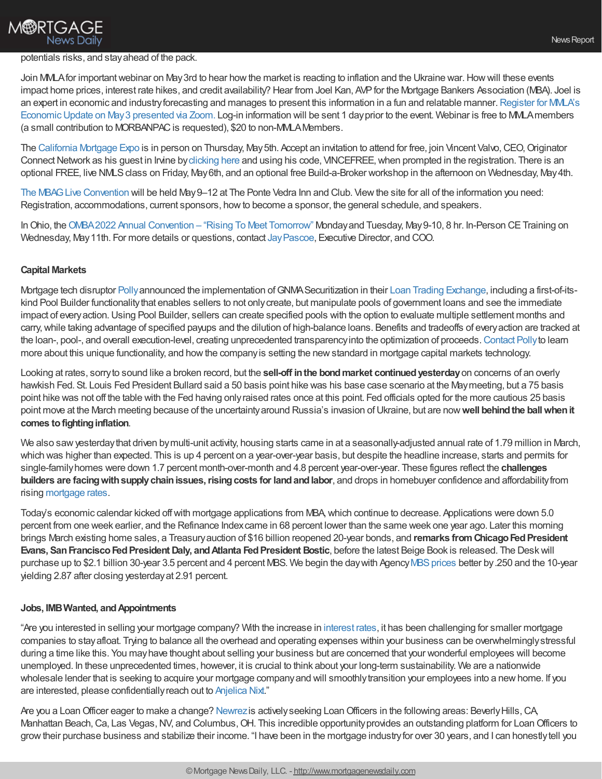# **M®RTGAGE News Daily**

#### potentials risks, and stayahead of the pack.

Join MMLA for important webinar on May 3rd to hear how the market is reacting to inflation and the Ukraine war. How will these events impact home prices, interest rate hikes, and credit availability? Hear from Joel Kan, AVPfor the Mortgage Bankers Association (MBA). Joel is an expert in economic and industry forecasting and manages to present this information in a fun and relatable manner. Register for MMLA's Economic Update on May 3 presented via Zoom. Log-in information will be sent 1 day prior to the event. Webinar is free to MMLA members (a small contribution to MORBANPAC is requested), \$20 to non-MMLA Members.

The [California](https://www.originatorconnectnetwork.com/events/california-mortgage-expo-irvine) Mortgage Expo is in person on Thursday, May 5th. Accept an invitation to attend for free, join Vincent Valvo, CEO, Originator Connect Network as his guest in Irvine by [clicking](https://nam12.safelinks.protection.outlook.com/?url=https%253A%252F%252Fr20.rs6.net%252Ftn.jsp%253Ff%253D001M0LxLPk4Ru3xPewZLs7IKurhKYfPWNk8DJhrdK_ukbVMPOTNTakYrbte7NmxWp6N5-ekcdzSwqT5HxikfbdeVlQ4fhMo0Vg44pu_QxtMsjVY-5Eh4OPSpWPAD5toIWeDGb09LEoZgVVB4LJ_l-teYnSczs8C9-vmtuW-0U1Qf_tJzmjmZEfxomllCKxpvmjP46LYnUGY0KUs15x67PdT97TSsAm7kb9m%2526c%253DrV0_fLtI2NvsRzk08UTSb282whMIXOZ9qEspQv2XtBKTxhsAnpspnQ%253D%253D%2526ch%253DEyzbCmkutsj-0DBv3btn1z1N5jhwHD7VNqtIC_T1cVeHXkJvDu2RmQ%253D%253D&data=05%257C01%257C%257Cf7ef0d15a50d4b26ad2408da1e4d6c0f%257C84df9e7fe9f640afb435aaaaaaaaaaaa%257C1%257C0%257C637855615135013071%257CUnknown%257CTWFpbGZsb3d8eyJWIjoiMC4wLjAwMDAiLCJQIjoiV2luMzIiLCJBTiI6Ik1haWwiLCJXVCI6Mn0%253D%257C3000%257C%257C%257C&sdata=z8%252FAhTFFFf6SD0ecVqx7Fh2RluFbELcjGDutMxhuocE%253D&reserved=0) here and using his code, VINCEFREE, when prompted in the registration. There is an optional FREE, live NMLS class on Friday, May 6th, and an optional free Build-a-Broker workshop in the afternoon on Wednesday, May 4th.

The MBAGLive [Convention](https://mbaglive.com/) will be held May9–12 at The Ponte Vedra Inn and Club. Viewthe site for all of the information you need: Registration, accommodations, current sponsors, howto become a sponsor, the general schedule, and speakers.

In Ohio, the OMBA 2022 Annual Convention – "Rising To Meet Tomorrow" Monday and Tuesday, May 9-10, 8 hr. In-Person CE Training on Wednesday, May11th. For more details or questions, contact [JayPascoe,](mailto:jpascoe@ohiomba.org) Executive Director, and COO.

### **Capital Markets**

Mortgage tech disruptor [Polly](https://hubs.ly/Q018lN870)announced the implementation ofGNMASecuritization in their Loan Trading [Exchange](https://hubs.la/Q018f8Rx0), including a first-of-itskind Pool Builder functionalitythat enables sellers to not onlycreate, but manipulate pools of government loans and see the immediate impact of everyaction.Using Pool Builder, sellers can create specified pools with the option to evaluate multiple settlement months and carry, while taking advantage of specified payups and the dilution of high-balance loans. Benefits and tradeoffs of every action are tracked at the loan-, pool-, and overall execution-level, creating unprecedented transparencyinto the optimization of proceeds.[Contact](https://hubs.la/Q018lNSM0) Pollyto learn more about this unique functionality, and howthe companyis setting the newstandard in mortgage capital markets technology.

Looking at rates, sorryto sound like a broken record, but the **sell-off inthe bondmarket continuedyesterday**on concerns of an overly hawkish Fed. St. Louis Fed President Bullard said a 50 basis point hike was his base case scenario at the Maymeeting, but a 75 basis point hike was not off the table with the Fed having onlyraised rates once at this point. Fed officials opted for the more cautious 25 basis point move at the March meeting because of the uncertaintyaround Russia's invasion ofUkraine, but are now**well behindthe ballwhenit comes** to fighting inflation.

We also saw yesterday that driven by multi-unit activity, housing starts came in at a seasonally-adjusted annual rate of 1.79 million in March, which was higher than expected. This is up 4 percent on a year-over-year basis, but despite the headline increase, starts and permits for single-familyhomes were down 1.7 percent month-over-month and 4.8 percent year-over-year. These figures reflect the **challenges builders are facingwithsupplychainissues,risingcosts for landandlabor**, and drops in homebuyer confidence and affordabilityfrom rising [mortgage](https://www.mortgagenewsdaily.com/mortgage-rates) rates.

Today's economic calendar kicked offwith mortgage applications from MBA,which continue to decrease. Applications were down 5.0 percent from one week earlier, and the Refinance Indexcame in 68 percent lower than the same week one year ago. Later this morning brings March existing home sales, a Treasuryauction of \$16 billion reopened 20-year bonds, and **remarks fromChicagoFedPresident Evans, SanFranciscoFedPresident Daly, andAtlanta FedPresident Bostic**, before the latest Beige Book is released. The Deskwill purchase up to \$2.1 billion 30-year 3.5 percent and 4 percent MBS. We begin the day with Agency MBS prices better by .250 and the 10-year yielding 2.87 after closing yesterdayat 2.91 percent.

### **Jobs, IMBWanted, andAppointments**

"Are you interested in selling your mortgage company? With the increase in [interest](https://www.mortgagenewsdaily.com/mortgage-rates) rates, it has been challenging for smaller mortgage companies to stayafloat. Trying to balance all the overhead and operating expenses within your business can be overwhelminglystressful during a time like this. You mayhave thought about selling your business but are concerned that your wonderful employees will become unemployed. In these unprecedented times, however, it is crucial to think about your long-term sustainability. We are a nationwide wholesale lender that is seeking to acquire your mortgage company and will smoothly transition your employees into a new home. If you are interested, please confidentiallyreach out to [Anjelica](mailto:anixt@robchrisman.com) Nixt."

Are you a Loan Officer eager to make a change? [Newrez](https://www.newrez.com/) is actively seeking Loan Officers in the following areas: Beverly Hills, CA, Manhattan Beach, Ca, Las Vegas, NV, and Columbus, OH. This incredible opportunity provides an outstanding platform for Loan Officers to growtheir purchase business and stabilize their income. "I have been in the mortgage industryfor over 30 years, and I can honestlytell you